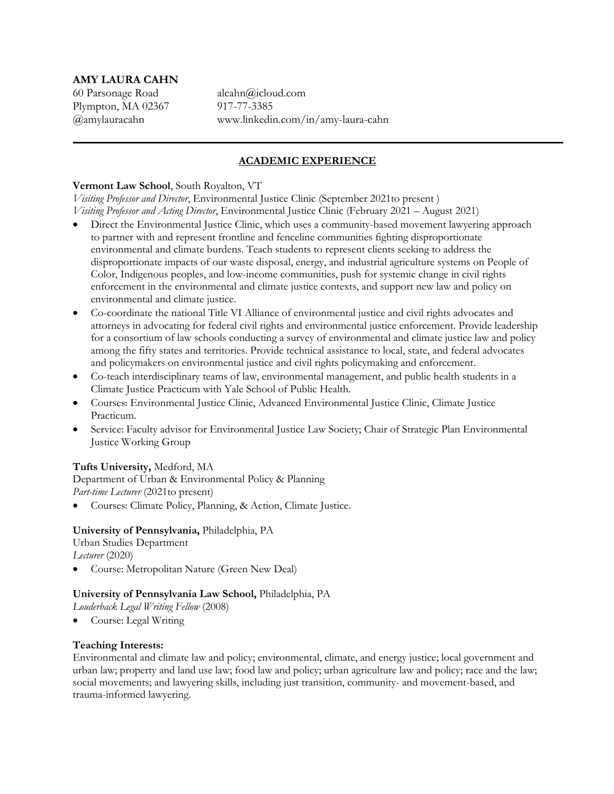# **AMY LAURA CAHN**

Plympton, MA 02367 917-77-3385

60 Parsonage Road alcahn@icloud.com @amylauracahn www.linkedin.com/in/amy-laura-cahn

# **ACADEMIC EXPERIENCE**

### **Vermont Law School**, South Royalton, VT

*Visiting Professor and Director*, Environmental Justice Clinic (September 2021to present ) *Visiting Professor and Acting Director*, Environmental Justice Clinic (February 2021 – August 2021)

- Direct the Environmental Justice Clinic, which uses a community-based movement lawyering approach to partner with and represent frontline and fenceline communities fighting disproportionate environmental and climate burdens. Teach students to represent clients seeking to address the disproportionate impacts of our waste disposal, energy, and industrial agriculture systems on People of Color, Indigenous peoples, and low-income communities, push for systemic change in civil rights enforcement in the environmental and climate justice contexts, and support new law and policy on environmental and climate justice.
- Co-coordinate the national Title VI Alliance of environmental justice and civil rights advocates and attorneys in advocating for federal civil rights and environmental justice enforcement. Provide leadership for a consortium of law schools conducting a survey of environmental and climate justice law and policy among the fifty states and territories. Provide technical assistance to local, state, and federal advocates and policymakers on environmental justice and civil rights policymaking and enforcement.
- Co-teach interdisciplinary teams of law, environmental management, and public health students in a Climate Justice Practicum with Yale School of Public Health.
- Courses: Environmental Justice Clinic, Advanced Environmental Justice Clinic, Climate Justice Practicum.
- Service: Faculty advisor for Environmental Justice Law Society; Chair of Strategic Plan Environmental Justice Working Group

# **Tufts University,** Medford, MA

Department of Urban & Environmental Policy & Planning *Part-time Lecturer* (2021to present)

• Courses: Climate Policy, Planning, & Action, Climate Justice.

# **University of Pennsylvania,** Philadelphia, PA

Urban Studies Department

*Lecturer* (2020)

• Course: Metropolitan Nature (Green New Deal)

# **University of Pennsylvania Law School,** Philadelphia, PA

*Louderback Legal Writing Fellow* (2008)

• Course: Legal Writing

# **Teaching Interests:**

Environmental and climate law and policy; environmental, climate, and energy justice; local government and urban law; property and land use law; food law and policy; urban agriculture law and policy; race and the law; social movements; and lawyering skills, including just transition, community- and movement-based, and trauma-informed lawyering.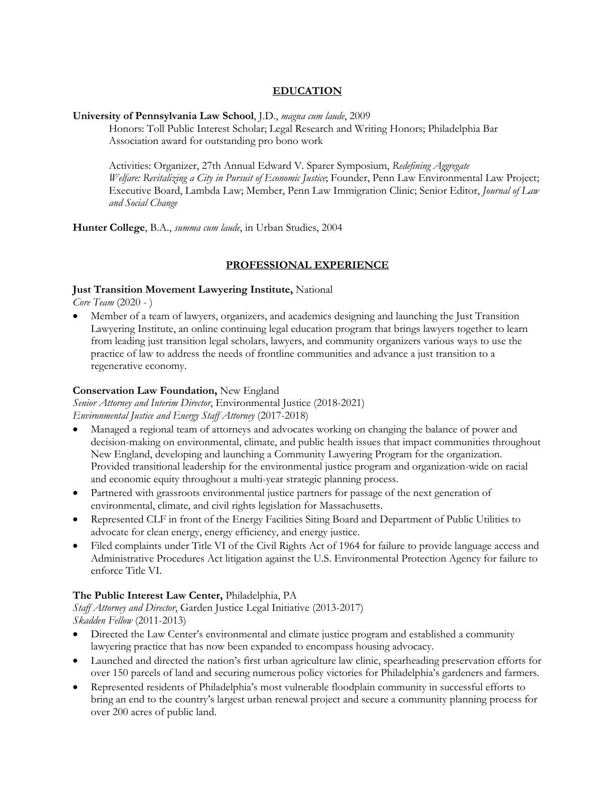# **EDUCATION**

### **University of Pennsylvania Law School**, J.D., *magna cum laude*, 2009

Honors: Toll Public Interest Scholar; Legal Research and Writing Honors; Philadelphia Bar Association award for outstanding pro bono work

Activities: Organizer, 27th Annual Edward V. Sparer Symposium, *Redefining Aggregate Welfare: Revitalizing a City in Pursuit of Economic Justice*; Founder, Penn Law Environmental Law Project; Executive Board, Lambda Law; Member, Penn Law Immigration Clinic; Senior Editor, *Journal of Law and Social Change*

**Hunter College**, B.A., *summa cum laude*, in Urban Studies, 2004

# **PROFESSIONAL EXPERIENCE**

### **Just Transition Movement Lawyering Institute,** National

*Core Team* (2020 - )

• Member of a team of lawyers, organizers, and academics designing and launching the Just Transition Lawyering Institute, an online continuing legal education program that brings lawyers together to learn from leading just transition legal scholars, lawyers, and community organizers various ways to use the practice of law to address the needs of frontline communities and advance a just transition to a regenerative economy.

### **Conservation Law Foundation,** New England

*Senior Attorney and Interim Director*, Environmental Justice (2018-2021) *Environmental Justice and Energy Staff Attorney* (2017-2018)

- Managed a regional team of attorneys and advocates working on changing the balance of power and decision-making on environmental, climate, and public health issues that impact communities throughout New England, developing and launching a Community Lawyering Program for the organization. Provided transitional leadership for the environmental justice program and organization-wide on racial and economic equity throughout a multi-year strategic planning process.
- Partnered with grassroots environmental justice partners for passage of the next generation of environmental, climate, and civil rights legislation for Massachusetts.
- Represented CLF in front of the Energy Facilities Siting Board and Department of Public Utilities to advocate for clean energy, energy efficiency, and energy justice.
- Filed complaints under Title VI of the Civil Rights Act of 1964 for failure to provide language access and Administrative Procedures Act litigation against the U.S. Environmental Protection Agency for failure to enforce Title VI.

# **The Public Interest Law Center,** Philadelphia, PA

*Staff Attorney and Director*, Garden Justice Legal Initiative (2013-2017) *Skadden Fellow* (2011-2013)

- Directed the Law Center's environmental and climate justice program and established a community lawyering practice that has now been expanded to encompass housing advocacy.
- Launched and directed the nation's first urban agriculture law clinic, spearheading preservation efforts for over 150 parcels of land and securing numerous policy victories for Philadelphia's gardeners and farmers.
- Represented residents of Philadelphia's most vulnerable floodplain community in successful efforts to bring an end to the country's largest urban renewal project and secure a community planning process for over 200 acres of public land.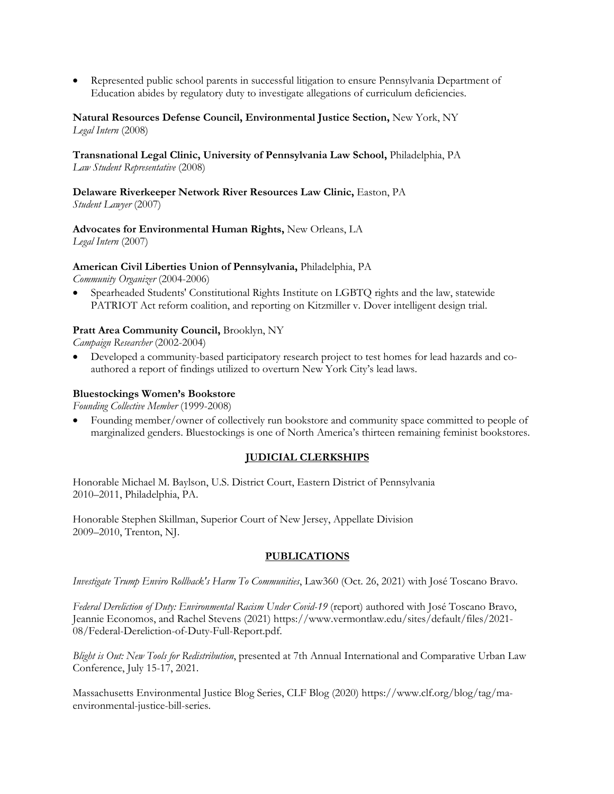• Represented public school parents in successful litigation to ensure Pennsylvania Department of Education abides by regulatory duty to investigate allegations of curriculum deficiencies.

#### **Natural Resources Defense Council, Environmental Justice Section,** New York, NY *Legal Intern* (2008)

#### **Transnational Legal Clinic, University of Pennsylvania Law School,** Philadelphia, PA *Law Student Representative* (2008)

# **Delaware Riverkeeper Network River Resources Law Clinic,** Easton, PA

*Student Lawyer* (2007)

# **Advocates for Environmental Human Rights,** New Orleans, LA

*Legal Intern* (2007)

# **American Civil Liberties Union of Pennsylvania,** Philadelphia, PA

*Community Organizer* (2004-2006)

• Spearheaded Students' Constitutional Rights Institute on LGBTQ rights and the law, statewide PATRIOT Act reform coalition, and reporting on Kitzmiller v. Dover intelligent design trial.

# **Pratt Area Community Council,** Brooklyn, NY

*Campaign Researcher* (2002-2004)

• Developed a community-based participatory research project to test homes for lead hazards and coauthored a report of findings utilized to overturn New York City's lead laws.

# **Bluestockings Women's Bookstore**

*Founding Collective Member* (1999-2008)

• Founding member/owner of collectively run bookstore and community space committed to people of marginalized genders. Bluestockings is one of North America's thirteen remaining feminist bookstores.

# **JUDICIAL CLERKSHIPS**

Honorable Michael M. Baylson, U.S. District Court, Eastern District of Pennsylvania 2010–2011, Philadelphia, PA.

Honorable Stephen Skillman, Superior Court of New Jersey, Appellate Division 2009–2010, Trenton, NJ.

# **PUBLICATIONS**

*Investigate Trump Enviro Rollback's Harm To Communities*, Law360 (Oct. 26, 2021) with José Toscano Bravo.

*Federal Dereliction of Duty: Environmental Racism Under Covid-19* (report) authored with José Toscano Bravo, Jeannie Economos, and Rachel Stevens (2021) https://www.vermontlaw.edu/sites/default/files/2021- 08/Federal-Dereliction-of-Duty-Full-Report.pdf.

*Blight is Out: New Tools for Redistribution*, presented at 7th Annual International and Comparative Urban Law Conference, July 15-17, 2021.

Massachusetts Environmental Justice Blog Series, CLF Blog (2020) https://www.clf.org/blog/tag/maenvironmental-justice-bill-series.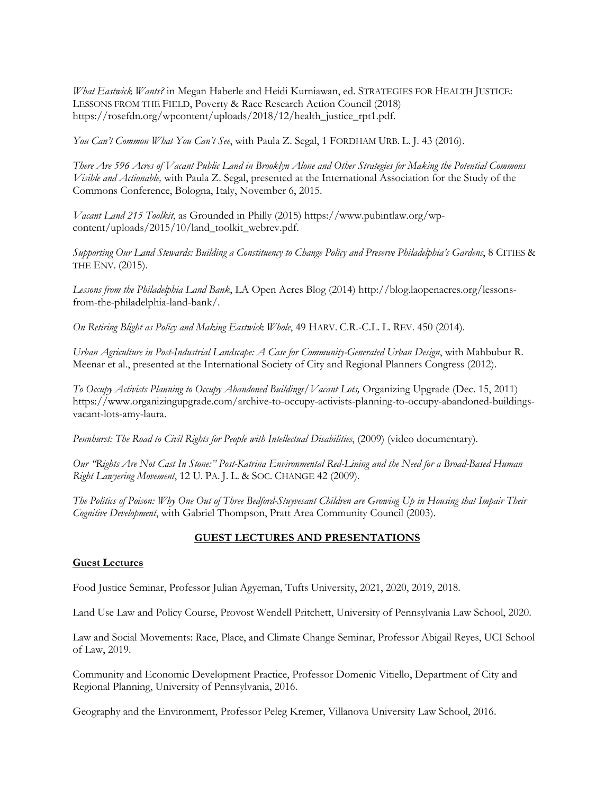*What Eastwick Wants?* in Megan Haberle and Heidi Kurniawan, ed. STRATEGIES FOR HEALTH JUSTICE: LESSONS FROM THE FIELD, Poverty & Race Research Action Council (2018) https://rosefdn.org/wpcontent/uploads/2018/12/health\_justice\_rpt1.pdf.

*You Can't Common What You Can't See*, with Paula Z. Segal, 1 FORDHAM URB. L. J. 43 (2016).

*There Are 596 Acres of Vacant Public Land in Brooklyn Alone and Other Strategies for Making the Potential Commons Visible and Actionable,* with Paula Z. Segal, presented at the International Association for the Study of the Commons Conference, Bologna, Italy, November 6, 2015.

*Vacant Land 215 Toolkit*, as Grounded in Philly (2015) https://www.pubintlaw.org/wpcontent/uploads/2015/10/land\_toolkit\_webrev.pdf.

*Supporting Our Land Stewards: Building a Constituency to Change Policy and Preserve Philadelphia's Gardens*, 8 CITIES & THE ENV. (2015).

*Lessons from the Philadelphia Land Bank*, LA Open Acres Blog (2014) http://blog.laopenacres.org/lessonsfrom-the-philadelphia-land-bank/.

*On Retiring Blight as Policy and Making Eastwick Whole*, 49 HARV. C.R.-C.L. L. REV. 450 (2014).

*Urban Agriculture in Post-Industrial Landscape: A Case for Community-Generated Urban Design*, with Mahbubur R. Meenar et al., presented at the International Society of City and Regional Planners Congress (2012).

*To Occupy Activists Planning to Occupy Abandoned Buildings/Vacant Lots,* Organizing Upgrade (Dec. 15, 2011) https://www.organizingupgrade.com/archive-to-occupy-activists-planning-to-occupy-abandoned-buildingsvacant-lots-amy-laura.

*Pennhurst: The Road to Civil Rights for People with Intellectual Disabilities*, (2009) (video documentary).

*Our "Rights Are Not Cast In Stone:" Post-Katrina Environmental Red-Lining and the Need for a Broad-Based Human Right Lawyering Movement*, 12 U. PA. J. L. & SOC. CHANGE 42 (2009).

*The Politics of Poison: Why One Out of Three Bedford-Stuyvesant Children are Growing Up in Housing that Impair Their Cognitive Development*, with Gabriel Thompson, Pratt Area Community Council (2003).

# **GUEST LECTURES AND PRESENTATIONS**

#### **Guest Lectures**

Food Justice Seminar, Professor Julian Agyeman, Tufts University, 2021, 2020, 2019, 2018.

Land Use Law and Policy Course, Provost Wendell Pritchett, University of Pennsylvania Law School, 2020.

Law and Social Movements: Race, Place, and Climate Change Seminar, Professor Abigail Reyes, UCI School of Law, 2019.

Community and Economic Development Practice, Professor Domenic Vitiello, Department of City and Regional Planning, University of Pennsylvania, 2016.

Geography and the Environment, Professor Peleg Kremer, Villanova University Law School, 2016.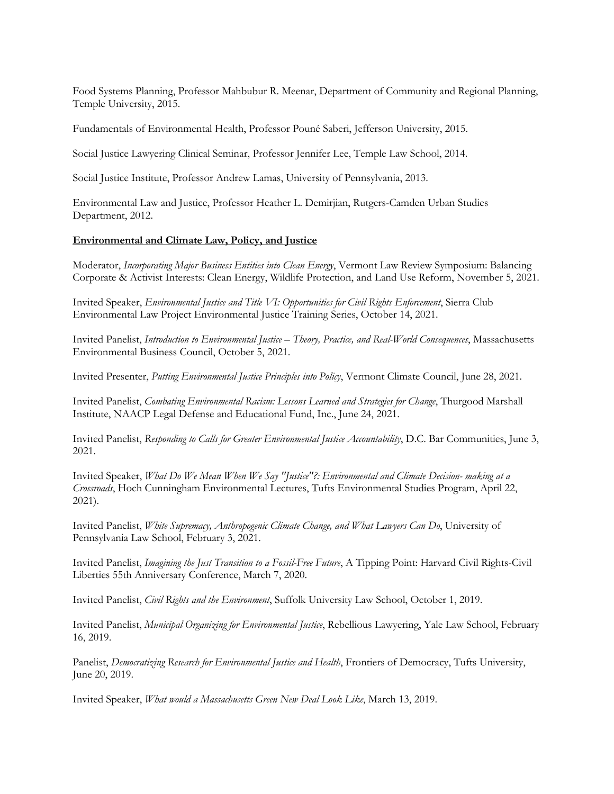Food Systems Planning, Professor Mahbubur R. Meenar, Department of Community and Regional Planning, Temple University, 2015.

Fundamentals of Environmental Health, Professor Pouné Saberi, Jefferson University, 2015.

Social Justice Lawyering Clinical Seminar, Professor Jennifer Lee, Temple Law School, 2014.

Social Justice Institute, Professor Andrew Lamas, University of Pennsylvania, 2013.

Environmental Law and Justice, Professor Heather L. Demirjian, Rutgers-Camden Urban Studies Department, 2012.

#### **Environmental and Climate Law, Policy, and Justice**

Moderator, *Incorporating Major Business Entities into Clean Energy*, Vermont Law Review Symposium: Balancing Corporate & Activist Interests: Clean Energy, Wildlife Protection, and Land Use Reform, November 5, 2021.

Invited Speaker, *Environmental Justice and Title VI: Opportunities for Civil Rights Enforcement*, Sierra Club Environmental Law Project Environmental Justice Training Series, October 14, 2021.

Invited Panelist, *Introduction to Environmental Justice – Theory, Practice, and Real-World Consequences*, Massachusetts Environmental Business Council, October 5, 2021.

Invited Presenter, *Putting Environmental Justice Principles into Policy*, Vermont Climate Council, June 28, 2021.

Invited Panelist, *Combating Environmental Racism: Lessons Learned and Strategies for Change*, Thurgood Marshall Institute, NAACP Legal Defense and Educational Fund, Inc., June 24, 2021.

Invited Panelist, *Responding to Calls for Greater Environmental Justice Accountability*, D.C. Bar Communities, June 3, 2021.

Invited Speaker, *What Do We Mean When We Say "Justice"?: Environmental and Climate Decision- making at a Crossroads*, Hoch Cunningham Environmental Lectures, Tufts Environmental Studies Program, April 22, 2021).

Invited Panelist, *White Supremacy, Anthropogenic Climate Change, and What Lawyers Can Do*, University of Pennsylvania Law School, February 3, 2021.

Invited Panelist, *Imagining the Just Transition to a Fossil-Free Future*, A Tipping Point: Harvard Civil Rights-Civil Liberties 55th Anniversary Conference, March 7, 2020.

Invited Panelist, *Civil Rights and the Environment*, Suffolk University Law School, October 1, 2019.

Invited Panelist, *Municipal Organizing for Environmental Justice*, Rebellious Lawyering, Yale Law School, February 16, 2019.

Panelist, *Democratizing Research for Environmental Justice and Health*, Frontiers of Democracy, Tufts University, June 20, 2019.

Invited Speaker, *What would a Massachusetts Green New Deal Look Like*, March 13, 2019.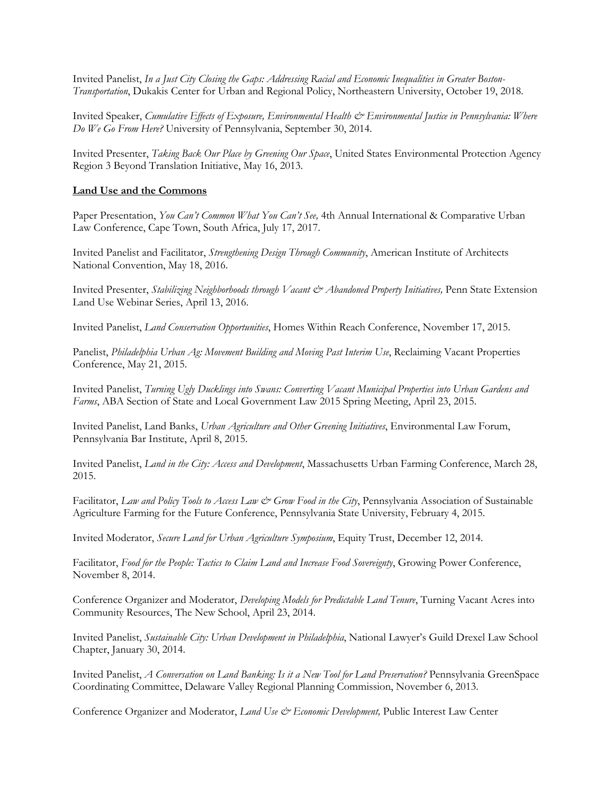Invited Panelist, *In a Just City Closing the Gaps: Addressing Racial and Economic Inequalities in Greater Boston-Transportation*, Dukakis Center for Urban and Regional Policy, Northeastern University, October 19, 2018.

Invited Speaker, *Cumulative Effects of Exposure, Environmental Health & Environmental Justice in Pennsylvania: Where Do We Go From Here?* University of Pennsylvania, September 30, 2014.

Invited Presenter, *Taking Back Our Place by Greening Our Space*, United States Environmental Protection Agency Region 3 Beyond Translation Initiative, May 16, 2013.

#### **Land Use and the Commons**

Paper Presentation, *You Can't Common What You Can't See,* 4th Annual International & Comparative Urban Law Conference, Cape Town, South Africa, July 17, 2017.

Invited Panelist and Facilitator, *Strengthening Design Through Community*, American Institute of Architects National Convention, May 18, 2016.

Invited Presenter, *Stabilizing Neighborhoods through Vacant & Abandoned Property Initiatives,* Penn State Extension Land Use Webinar Series, April 13, 2016.

Invited Panelist, *Land Conservation Opportunities*, Homes Within Reach Conference, November 17, 2015.

Panelist, *Philadelphia Urban Ag: Movement Building and Moving Past Interim Use*, Reclaiming Vacant Properties Conference, May 21, 2015.

Invited Panelist, *Turning Ugly Ducklings into Swans: Converting Vacant Municipal Properties into Urban Gardens and Farms*, ABA Section of State and Local Government Law 2015 Spring Meeting, April 23, 2015.

Invited Panelist, Land Banks, *Urban Agriculture and Other Greening Initiatives*, Environmental Law Forum, Pennsylvania Bar Institute, April 8, 2015.

Invited Panelist, *Land in the City: Access and Development*, Massachusetts Urban Farming Conference, March 28, 2015.

Facilitator, *Law and Policy Tools to Access Law & Grow Food in the City*, Pennsylvania Association of Sustainable Agriculture Farming for the Future Conference, Pennsylvania State University, February 4, 2015.

Invited Moderator, *Secure Land for Urban Agriculture Symposium*, Equity Trust, December 12, 2014.

Facilitator, *Food for the People: Tactics to Claim Land and Increase Food Sovereignty*, Growing Power Conference, November 8, 2014.

Conference Organizer and Moderator, *Developing Models for Predictable Land Tenure*, Turning Vacant Acres into Community Resources, The New School, April 23, 2014.

Invited Panelist, *Sustainable City: Urban Development in Philadelphia*, National Lawyer's Guild Drexel Law School Chapter, January 30, 2014.

Invited Panelist, *A Conversation on Land Banking: Is it a New Tool for Land Preservation?* Pennsylvania GreenSpace Coordinating Committee, Delaware Valley Regional Planning Commission, November 6, 2013.

Conference Organizer and Moderator, *Land Use & Economic Development,* Public Interest Law Center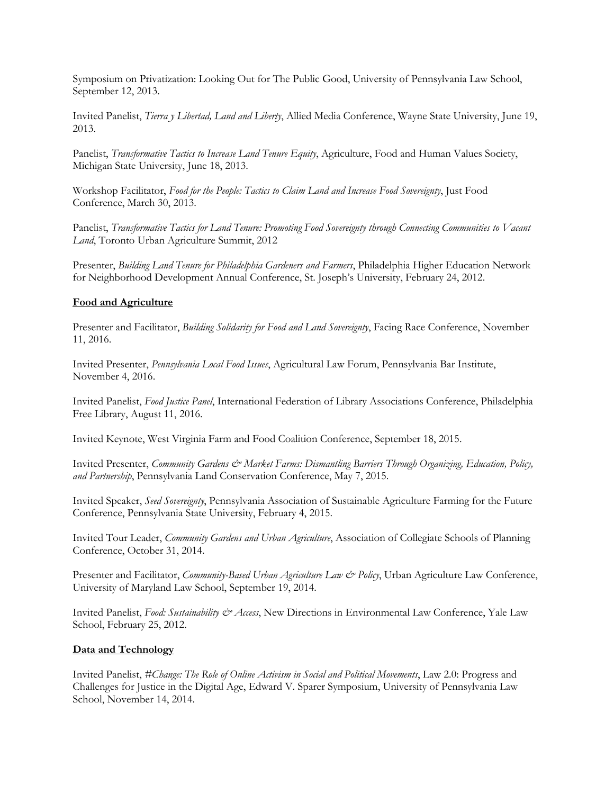Symposium on Privatization: Looking Out for The Public Good, University of Pennsylvania Law School, September 12, 2013.

Invited Panelist, *Tierra y Libertad, Land and Liberty*, Allied Media Conference, Wayne State University, June 19, 2013.

Panelist, *Transformative Tactics to Increase Land Tenure Equity*, Agriculture, Food and Human Values Society, Michigan State University, June 18, 2013.

Workshop Facilitator, *Food for the People: Tactics to Claim Land and Increase Food Sovereignty*, Just Food Conference, March 30, 2013.

Panelist, *Transformative Tactics for Land Tenure: Promoting Food Sovereignty through Connecting Communities to Vacant Land*, Toronto Urban Agriculture Summit, 2012

Presenter, *Building Land Tenure for Philadelphia Gardeners and Farmers*, Philadelphia Higher Education Network for Neighborhood Development Annual Conference, St. Joseph's University, February 24, 2012.

#### **Food and Agriculture**

Presenter and Facilitator, *Building Solidarity for Food and Land Sovereignty*, Facing Race Conference, November 11, 2016.

Invited Presenter, *Pennsylvania Local Food Issues*, Agricultural Law Forum, Pennsylvania Bar Institute, November 4, 2016.

Invited Panelist, *Food Justice Panel*, International Federation of Library Associations Conference, Philadelphia Free Library, August 11, 2016.

Invited Keynote, West Virginia Farm and Food Coalition Conference, September 18, 2015.

Invited Presenter, *Community Gardens & Market Farms: Dismantling Barriers Through Organizing, Education, Policy, and Partnership*, Pennsylvania Land Conservation Conference, May 7, 2015.

Invited Speaker, *Seed Sovereignty*, Pennsylvania Association of Sustainable Agriculture Farming for the Future Conference, Pennsylvania State University, February 4, 2015.

Invited Tour Leader, *Community Gardens and Urban Agriculture*, Association of Collegiate Schools of Planning Conference, October 31, 2014.

Presenter and Facilitator, *Community-Based Urban Agriculture Law & Policy*, Urban Agriculture Law Conference, University of Maryland Law School, September 19, 2014.

Invited Panelist, *Food: Sustainability & Access*, New Directions in Environmental Law Conference, Yale Law School, February 25, 2012.

#### **Data and Technology**

Invited Panelist, *#Change: The Role of Online Activism in Social and Political Movements*, Law 2.0: Progress and Challenges for Justice in the Digital Age, Edward V. Sparer Symposium, University of Pennsylvania Law School, November 14, 2014.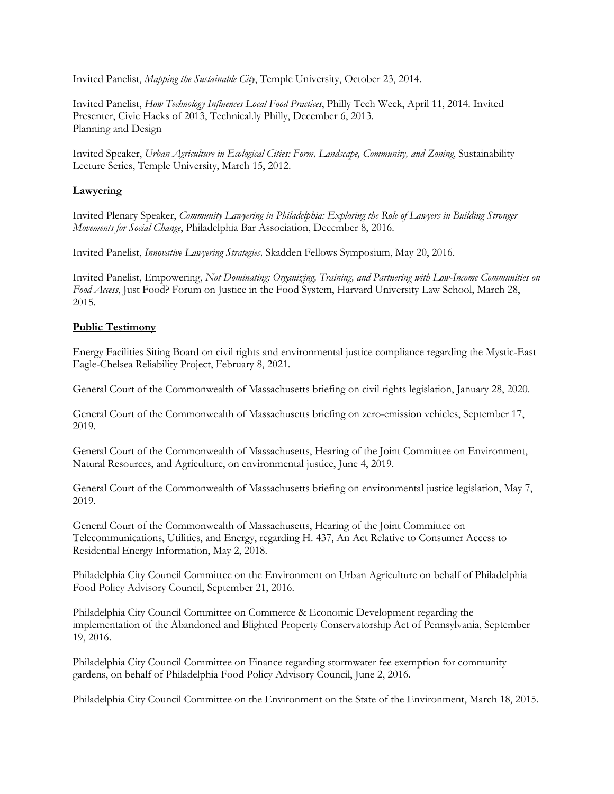Invited Panelist, *Mapping the Sustainable City*, Temple University, October 23, 2014.

Invited Panelist, *How Technology Influences Local Food Practices*, Philly Tech Week, April 11, 2014. Invited Presenter, Civic Hacks of 2013, Technical.ly Philly, December 6, 2013. Planning and Design

Invited Speaker, *Urban Agriculture in Ecological Cities: Form, Landscape, Community, and Zoning*, Sustainability Lecture Series, Temple University, March 15, 2012.

# **Lawyering**

Invited Plenary Speaker, *Community Lawyering in Philadelphia: Exploring the Role of Lawyers in Building Stronger Movements for Social Change*, Philadelphia Bar Association, December 8, 2016.

Invited Panelist, *Innovative Lawyering Strategies,* Skadden Fellows Symposium, May 20, 2016.

Invited Panelist, Empowering, *Not Dominating: Organizing, Training, and Partnering with Low-Income Communities on Food Access*, Just Food? Forum on Justice in the Food System, Harvard University Law School, March 28, 2015.

# **Public Testimony**

Energy Facilities Siting Board on civil rights and environmental justice compliance regarding the Mystic-East Eagle-Chelsea Reliability Project, February 8, 2021.

General Court of the Commonwealth of Massachusetts briefing on civil rights legislation, January 28, 2020.

General Court of the Commonwealth of Massachusetts briefing on zero-emission vehicles, September 17, 2019.

General Court of the Commonwealth of Massachusetts, Hearing of the Joint Committee on Environment, Natural Resources, and Agriculture, on environmental justice, June 4, 2019.

General Court of the Commonwealth of Massachusetts briefing on environmental justice legislation, May 7, 2019.

General Court of the Commonwealth of Massachusetts, Hearing of the Joint Committee on Telecommunications, Utilities, and Energy, regarding H. 437, An Act Relative to Consumer Access to Residential Energy Information, May 2, 2018.

Philadelphia City Council Committee on the Environment on Urban Agriculture on behalf of Philadelphia Food Policy Advisory Council, September 21, 2016.

Philadelphia City Council Committee on Commerce & Economic Development regarding the implementation of the Abandoned and Blighted Property Conservatorship Act of Pennsylvania, September 19, 2016.

Philadelphia City Council Committee on Finance regarding stormwater fee exemption for community gardens, on behalf of Philadelphia Food Policy Advisory Council, June 2, 2016.

Philadelphia City Council Committee on the Environment on the State of the Environment, March 18, 2015.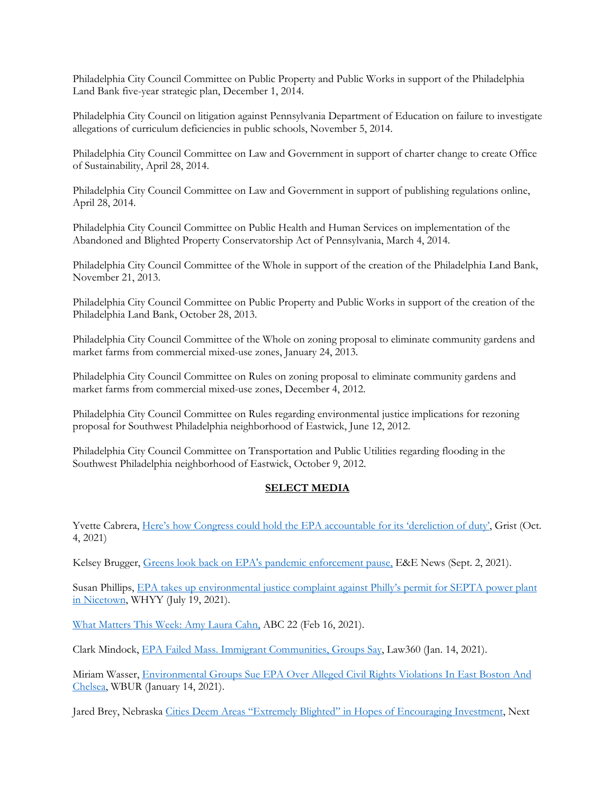Philadelphia City Council Committee on Public Property and Public Works in support of the Philadelphia Land Bank five-year strategic plan, December 1, 2014.

Philadelphia City Council on litigation against Pennsylvania Department of Education on failure to investigate allegations of curriculum deficiencies in public schools, November 5, 2014.

Philadelphia City Council Committee on Law and Government in support of charter change to create Office of Sustainability, April 28, 2014.

Philadelphia City Council Committee on Law and Government in support of publishing regulations online, April 28, 2014.

Philadelphia City Council Committee on Public Health and Human Services on implementation of the Abandoned and Blighted Property Conservatorship Act of Pennsylvania, March 4, 2014.

Philadelphia City Council Committee of the Whole in support of the creation of the Philadelphia Land Bank, November 21, 2013.

Philadelphia City Council Committee on Public Property and Public Works in support of the creation of the Philadelphia Land Bank, October 28, 2013.

Philadelphia City Council Committee of the Whole on zoning proposal to eliminate community gardens and market farms from commercial mixed-use zones, January 24, 2013.

Philadelphia City Council Committee on Rules on zoning proposal to eliminate community gardens and market farms from commercial mixed-use zones, December 4, 2012.

Philadelphia City Council Committee on Rules regarding environmental justice implications for rezoning proposal for Southwest Philadelphia neighborhood of Eastwick, June 12, 2012.

Philadelphia City Council Committee on Transportation and Public Utilities regarding flooding in the Southwest Philadelphia neighborhood of Eastwick, October 9, 2012.

# **SELECT MEDIA**

Yvette Cabrera, Here's how Congress could hold the EPA accountable for its 'dereliction of duty', Grist (Oct. 4, 2021)

Kelsey Brugger, Greens look back on EPA's pandemic enforcement pause, E&E News (Sept. 2, 2021).

Susan Phillips, EPA takes up environmental justice complaint against Philly's permit for SEPTA power plant in Nicetown, WHYY (July 19, 2021).

What Matters This Week: Amy Laura Cahn, ABC 22 (Feb 16, 2021).

Clark Mindock, EPA Failed Mass. Immigrant Communities, Groups Say, Law360 (Jan. 14, 2021).

Miriam Wasser, Environmental Groups Sue EPA Over Alleged Civil Rights Violations In East Boston And Chelsea, WBUR (January 14, 2021).

Jared Brey, Nebraska Cities Deem Areas "Extremely Blighted" in Hopes of Encouraging Investment, Next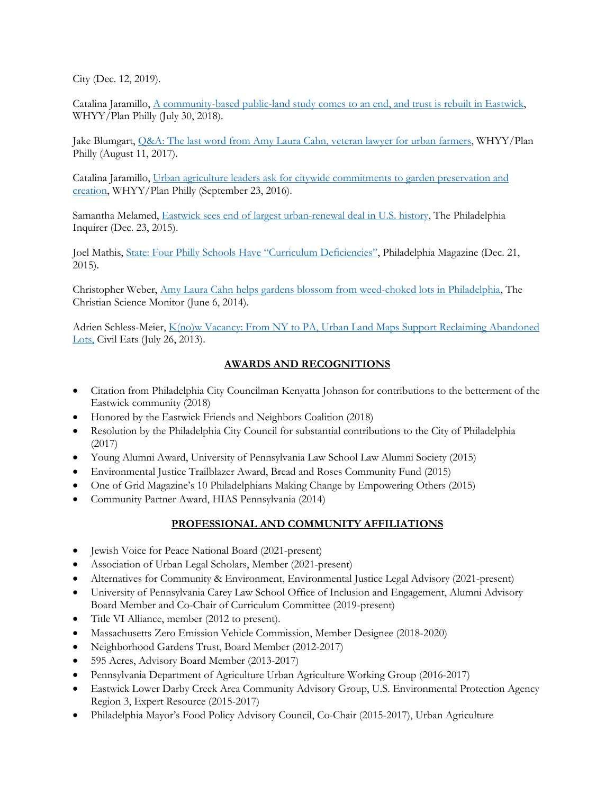City (Dec. 12, 2019).

Catalina Jaramillo, A community-based public-land study comes to an end, and trust is rebuilt in Eastwick, WHYY/Plan Philly (July 30, 2018).

Jake Blumgart, Q&A: The last word from Amy Laura Cahn, veteran lawyer for urban farmers, WHYY/Plan Philly (August 11, 2017).

Catalina Jaramillo, Urban agriculture leaders ask for citywide commitments to garden preservation and creation, WHYY/Plan Philly (September 23, 2016).

Samantha Melamed, Eastwick sees end of largest urban-renewal deal in U.S. history, The Philadelphia Inquirer (Dec. 23, 2015).

Joel Mathis, State: Four Philly Schools Have "Curriculum Deficiencies", Philadelphia Magazine (Dec. 21, 2015).

Christopher Weber, Amy Laura Cahn helps gardens blossom from weed-choked lots in Philadelphia, The Christian Science Monitor (June 6, 2014).

Adrien Schless-Meier, K(no)w Vacancy: From NY to PA, Urban Land Maps Support Reclaiming Abandoned Lots, Civil Eats (July 26, 2013).

# **AWARDS AND RECOGNITIONS**

- Citation from Philadelphia City Councilman Kenyatta Johnson for contributions to the betterment of the Eastwick community (2018)
- Honored by the Eastwick Friends and Neighbors Coalition (2018)
- Resolution by the Philadelphia City Council for substantial contributions to the City of Philadelphia (2017)
- Young Alumni Award, University of Pennsylvania Law School Law Alumni Society (2015)
- Environmental Justice Trailblazer Award, Bread and Roses Community Fund (2015)
- One of Grid Magazine's 10 Philadelphians Making Change by Empowering Others (2015)
- Community Partner Award, HIAS Pennsylvania (2014)

# **PROFESSIONAL AND COMMUNITY AFFILIATIONS**

- Jewish Voice for Peace National Board (2021-present)
- Association of Urban Legal Scholars, Member (2021-present)
- Alternatives for Community & Environment, Environmental Justice Legal Advisory (2021-present)
- University of Pennsylvania Carey Law School Office of Inclusion and Engagement, Alumni Advisory Board Member and Co-Chair of Curriculum Committee (2019-present)
- Title VI Alliance, member (2012 to present).
- Massachusetts Zero Emission Vehicle Commission, Member Designee (2018-2020)
- Neighborhood Gardens Trust, Board Member (2012-2017)
- 595 Acres, Advisory Board Member (2013-2017)
- Pennsylvania Department of Agriculture Urban Agriculture Working Group (2016-2017)
- Eastwick Lower Darby Creek Area Community Advisory Group, U.S. Environmental Protection Agency Region 3, Expert Resource (2015-2017)
- Philadelphia Mayor's Food Policy Advisory Council, Co-Chair (2015-2017), Urban Agriculture